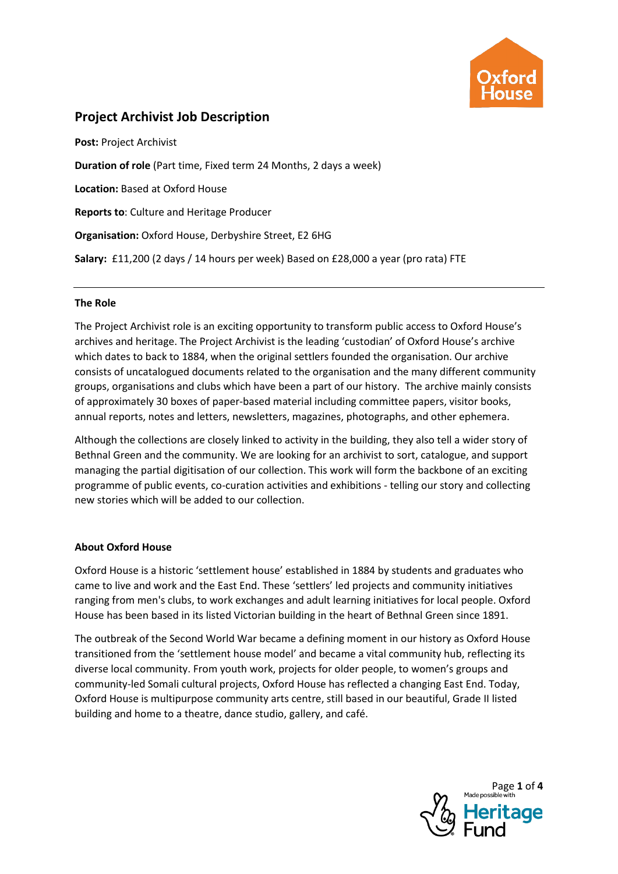

# **Project Archivist Job Description**

**Post:** Project Archivist **Duration of role** (Part time, Fixed term 24 Months, 2 days a week) **Location:** Based at Oxford House **Reports to**: Culture and Heritage Producer **Organisation:** Oxford House, Derbyshire Street, E2 6HG **Salary:** £11,200 (2 days / 14 hours per week) Based on £28,000 a year (pro rata) FTE

#### **The Role**

The Project Archivist role is an exciting opportunity to transform public access to Oxford House's archives and heritage. The Project Archivist is the leading 'custodian' of Oxford House's archive which dates to back to 1884, when the original settlers founded the organisation. Our archive consists of uncatalogued documents related to the organisation and the many different community groups, organisations and clubs which have been a part of our history. The archive mainly consists of approximately 30 boxes of paper-based material including committee papers, visitor books, annual reports, notes and letters, newsletters, magazines, photographs, and other ephemera.

Although the collections are closely linked to activity in the building, they also tell a wider story of Bethnal Green and the community. We are looking for an archivist to sort, catalogue, and support managing the partial digitisation of our collection. This work will form the backbone of an exciting programme of public events, co-curation activities and exhibitions - telling our story and collecting new stories which will be added to our collection.

# **About Oxford House**

Oxford House is a historic 'settlement house' established in 1884 by students and graduates who came to live and work and the East End. These 'settlers' led projects and community initiatives ranging from men's clubs, to work exchanges and adult learning initiatives for local people. Oxford House has been based in its listed Victorian building in the heart of Bethnal Green since 1891.

The outbreak of the Second World War became a defining moment in our history as Oxford House transitioned from the 'settlement house model' and became a vital community hub, reflecting its diverse local community. From youth work, projects for older people, to women's groups and community-led Somali cultural projects, Oxford House has reflected a changing East End. Today, Oxford House is multipurpose community arts centre, still based in our beautiful, Grade II listed building and home to a theatre, dance studio, gallery, and café.

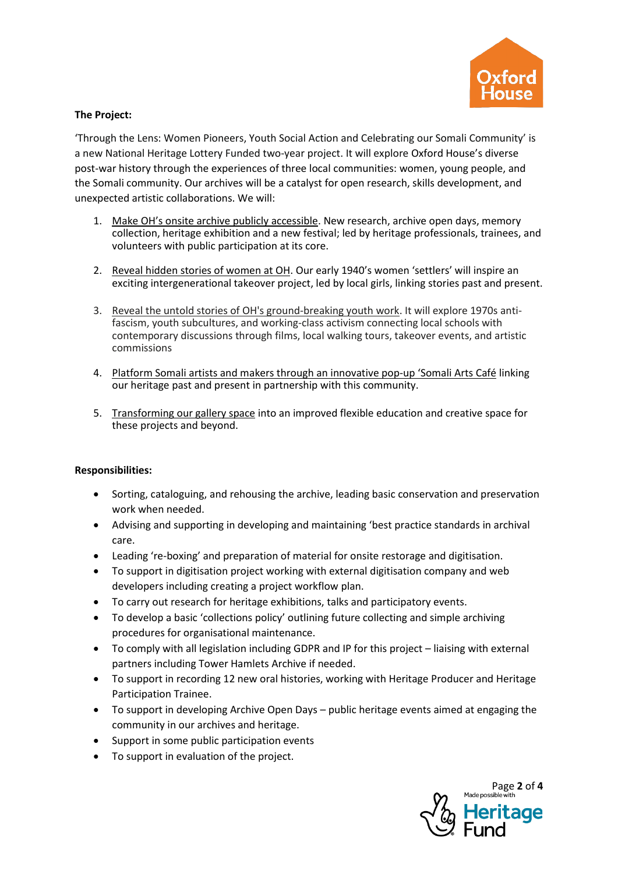

### **The Project:**

'Through the Lens: Women Pioneers, Youth Social Action and Celebrating our Somali Community' is a new National Heritage Lottery Funded two-year project. It will explore Oxford House's diverse post-war history through the experiences of three local communities: women, young people, and the Somali community. Our archives will be a catalyst for open research, skills development, and unexpected artistic collaborations. We will:

- 1. Make OH's onsite archive publicly accessible. New research, archive open days, memory collection, heritage exhibition and a new festival; led by heritage professionals, trainees, and volunteers with public participation at its core.
- 2. Reveal hidden stories of women at OH. Our early 1940's women 'settlers' will inspire an exciting intergenerational takeover project, led by local girls, linking stories past and present.
- 3. Reveal the untold stories of OH's ground-breaking youth work. It will explore 1970s antifascism, youth subcultures, and working-class activism connecting local schools with contemporary discussions through films, local walking tours, takeover events, and artistic commissions
- 4. Platform Somali artists and makers through an innovative pop-up 'Somali Arts Café linking our heritage past and present in partnership with this community.
- 5. Transforming our gallery space into an improved flexible education and creative space for these projects and beyond.

#### **Responsibilities:**

- Sorting, cataloguing, and rehousing the archive, leading basic conservation and preservation work when needed.
- Advising and supporting in developing and maintaining 'best practice standards in archival care.
- Leading 're-boxing' and preparation of material for onsite restorage and digitisation.
- To support in digitisation project working with external digitisation company and web developers including creating a project workflow plan.
- To carry out research for heritage exhibitions, talks and participatory events.
- To develop a basic 'collections policy' outlining future collecting and simple archiving procedures for organisational maintenance.
- To comply with all legislation including GDPR and IP for this project liaising with external partners including Tower Hamlets Archive if needed.
- To support in recording 12 new oral histories, working with Heritage Producer and Heritage Participation Trainee.
- To support in developing Archive Open Days public heritage events aimed at engaging the community in our archives and heritage.
- Support in some public participation events
- To support in evaluation of the project.

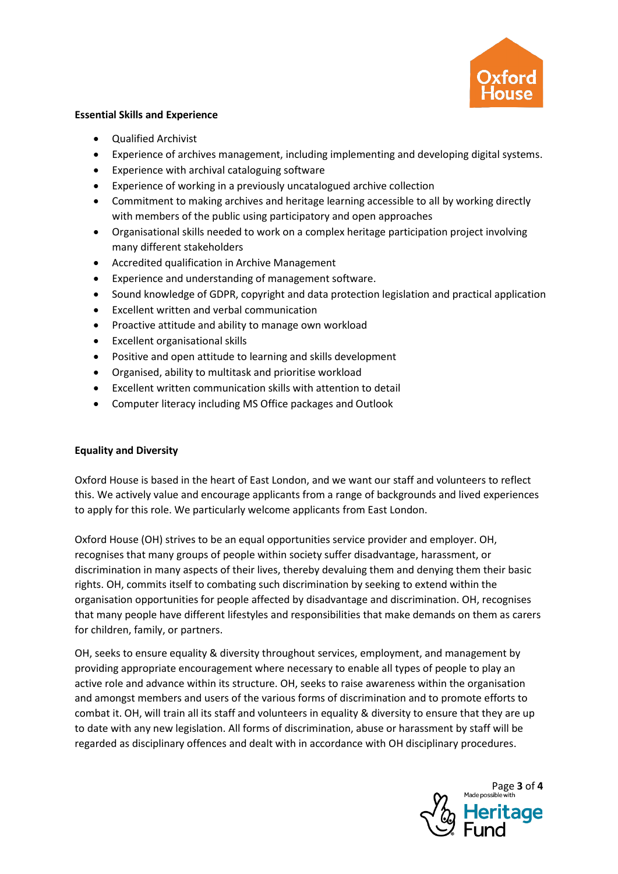

#### **Essential Skills and Experience**

- Qualified Archivist
- Experience of archives management, including implementing and developing digital systems.
- Experience with archival cataloguing software
- Experience of working in a previously uncatalogued archive collection
- Commitment to making archives and heritage learning accessible to all by working directly with members of the public using participatory and open approaches
- Organisational skills needed to work on a complex heritage participation project involving many different stakeholders
- Accredited qualification in Archive Management
- Experience and understanding of management software.
- Sound knowledge of GDPR, copyright and data protection legislation and practical application
- Excellent written and verbal communication
- Proactive attitude and ability to manage own workload
- Excellent organisational skills
- Positive and open attitude to learning and skills development
- Organised, ability to multitask and prioritise workload
- Excellent written communication skills with attention to detail
- Computer literacy including MS Office packages and Outlook

# **Equality and Diversity**

Oxford House is based in the heart of East London, and we want our staff and volunteers to reflect this. We actively value and encourage applicants from a range of backgrounds and lived experiences to apply for this role. We particularly welcome applicants from East London.

Oxford House (OH) strives to be an equal opportunities service provider and employer. OH, recognises that many groups of people within society suffer disadvantage, harassment, or discrimination in many aspects of their lives, thereby devaluing them and denying them their basic rights. OH, commits itself to combating such discrimination by seeking to extend within the organisation opportunities for people affected by disadvantage and discrimination. OH, recognises that many people have different lifestyles and responsibilities that make demands on them as carers for children, family, or partners.

OH, seeks to ensure equality & diversity throughout services, employment, and management by providing appropriate encouragement where necessary to enable all types of people to play an active role and advance within its structure. OH, seeks to raise awareness within the organisation and amongst members and users of the various forms of discrimination and to promote efforts to combat it. OH, will train all its staff and volunteers in equality & diversity to ensure that they are up to date with any new legislation. All forms of discrimination, abuse or harassment by staff will be regarded as disciplinary offences and dealt with in accordance with OH disciplinary procedures.